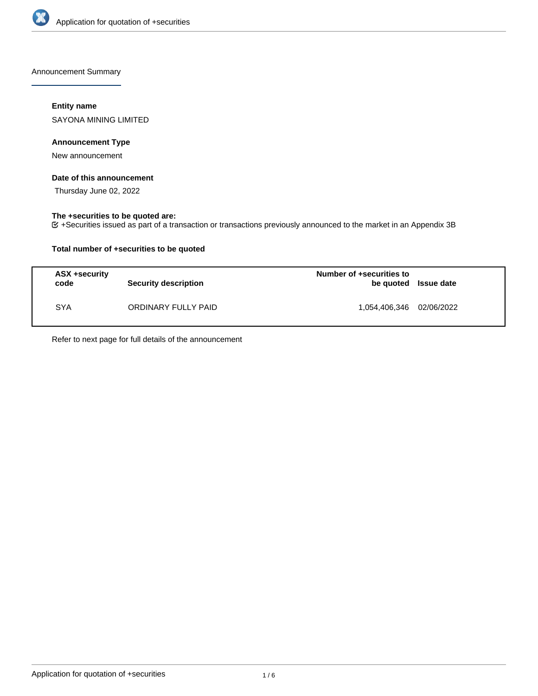

Announcement Summary

## **Entity name**

SAYONA MINING LIMITED

## **Announcement Type**

New announcement

## **Date of this announcement**

Thursday June 02, 2022

# **The +securities to be quoted are:**

+Securities issued as part of a transaction or transactions previously announced to the market in an Appendix 3B

## **Total number of +securities to be quoted**

| ASX +security<br>code | <b>Security description</b> | Number of +securities to<br>be quoted Issue date |  |
|-----------------------|-----------------------------|--------------------------------------------------|--|
| <b>SYA</b>            | ORDINARY FULLY PAID         | 1,054,406,346 02/06/2022                         |  |

Refer to next page for full details of the announcement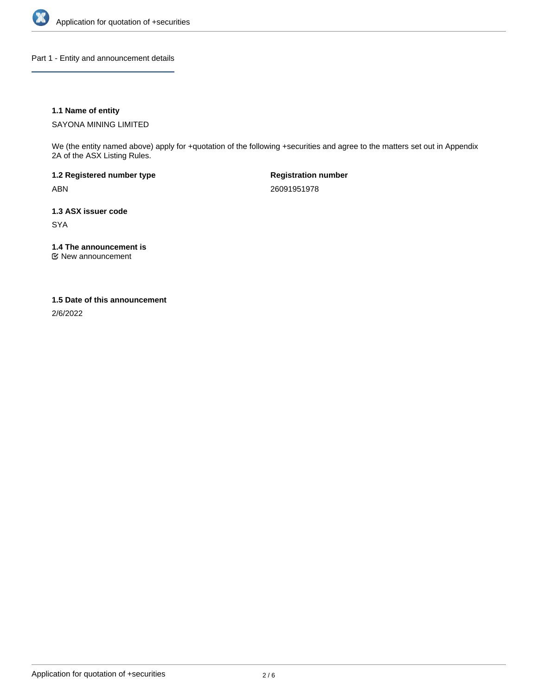

Part 1 - Entity and announcement details

## **1.1 Name of entity**

SAYONA MINING LIMITED

We (the entity named above) apply for +quotation of the following +securities and agree to the matters set out in Appendix 2A of the ASX Listing Rules.

**1.2 Registered number type** ABN

**Registration number** 26091951978

**1.3 ASX issuer code** SYA

**1.4 The announcement is**

New announcement

### **1.5 Date of this announcement**

2/6/2022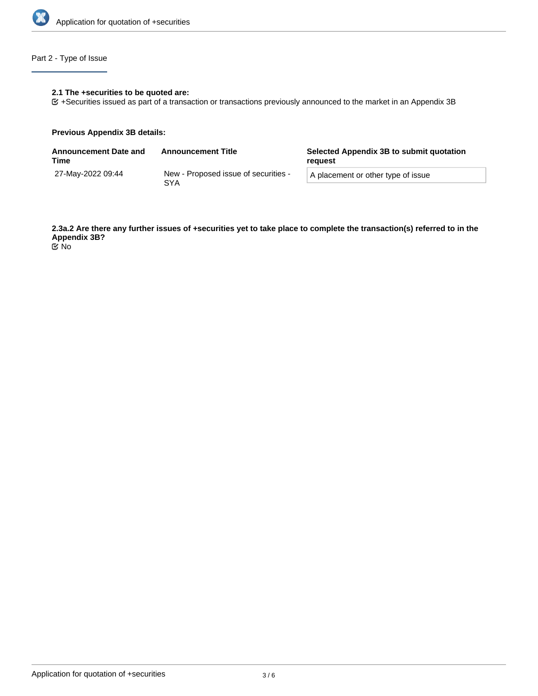

# Part 2 - Type of Issue

## **2.1 The +securities to be quoted are:**

+Securities issued as part of a transaction or transactions previously announced to the market in an Appendix 3B

### **Previous Appendix 3B details:**

| <b>Announcement Date and</b><br>Time | <b>Announcement Title</b>                          | Selected Appendix 3B to submit quotation<br>reguest |
|--------------------------------------|----------------------------------------------------|-----------------------------------------------------|
| 27-May-2022 09:44                    | New - Proposed issue of securities -<br><b>SYA</b> | A placement or other type of issue                  |

**2.3a.2 Are there any further issues of +securities yet to take place to complete the transaction(s) referred to in the Appendix 3B?**

No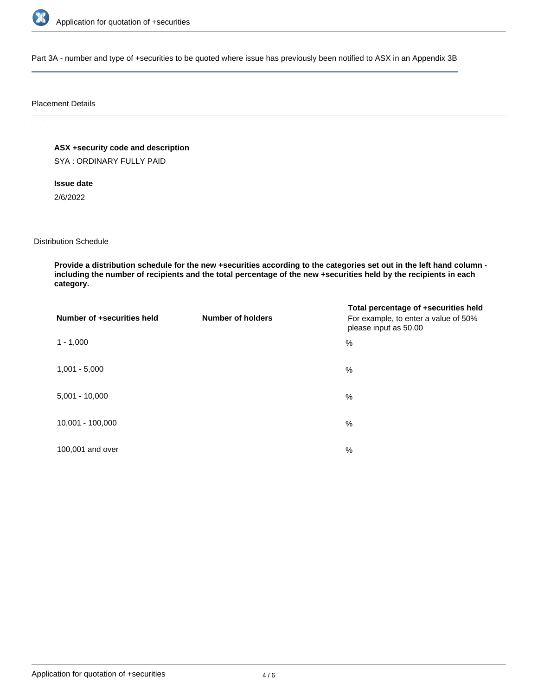

Part 3A - number and type of +securities to be quoted where issue has previously been notified to ASX in an Appendix 3B

### Placement Details

**ASX +security code and description**

SYA : ORDINARY FULLY PAID

**Issue date**

2/6/2022

Distribution Schedule

**Provide a distribution schedule for the new +securities according to the categories set out in the left hand column including the number of recipients and the total percentage of the new +securities held by the recipients in each category.**

| Number of +securities held | <b>Number of holders</b> | Total percentage of +securities held<br>For example, to enter a value of 50%<br>please input as 50.00 |
|----------------------------|--------------------------|-------------------------------------------------------------------------------------------------------|
| $1 - 1,000$                |                          | %                                                                                                     |
| $1,001 - 5,000$            |                          | $\%$                                                                                                  |
| $5,001 - 10,000$           |                          | %                                                                                                     |
| 10,001 - 100,000           |                          | $\%$                                                                                                  |
| 100,001 and over           |                          | $\%$                                                                                                  |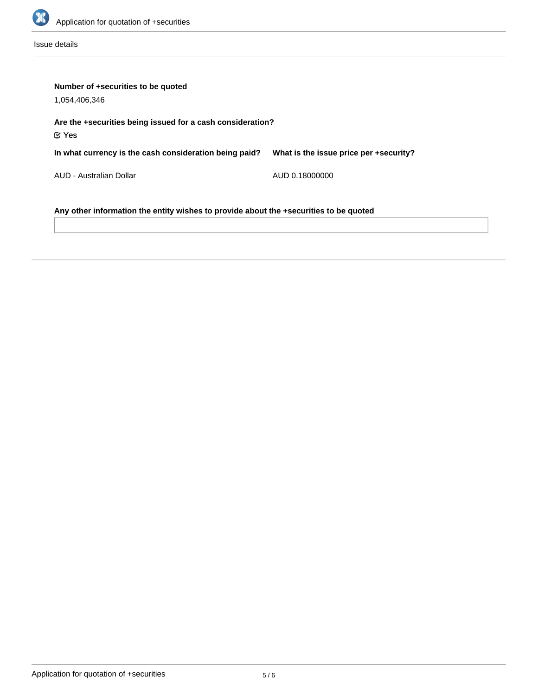

Issue details

| Number of +securities to be quoted                                                    |                                        |  |  |  |
|---------------------------------------------------------------------------------------|----------------------------------------|--|--|--|
| 1,054,406,346                                                                         |                                        |  |  |  |
| Are the +securities being issued for a cash consideration?<br>$\mathfrak C$ Yes       |                                        |  |  |  |
| In what currency is the cash consideration being paid?                                | What is the issue price per +security? |  |  |  |
| AUD - Australian Dollar                                                               | AUD 0.18000000                         |  |  |  |
| Any other information the entity wishes to provide about the +securities to be quoted |                                        |  |  |  |